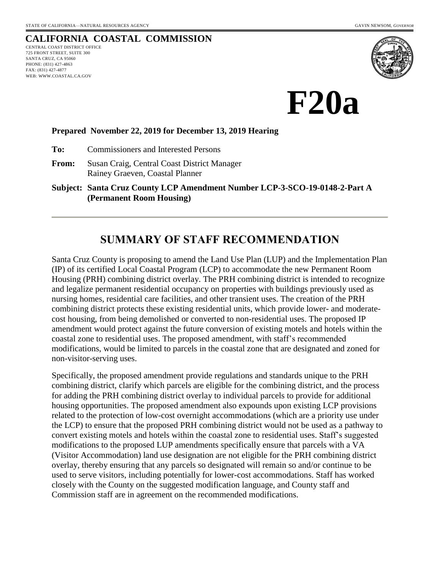# **CALIFORNIA COASTAL COMMISSION**

CENTRAL COAST DISTRICT OFFICE 725 FRONT STREET, SUITE 300 SANTA CRUZ, CA 95060 PHONE: (831) 427-4863 FAX: (831) 427-4877 WEB: WWW.COASTAL.CA.GOV



**F20a**

#### **Prepared November 22, 2019 for December 13, 2019 Hearing**

**To:** Commissioners and Interested Persons

**From:** Susan Craig, Central Coast District Manager Rainey Graeven, Coastal Planner

**Subject: Santa Cruz County LCP Amendment Number LCP-3-SCO-19-0148-2-Part A (Permanent Room Housing)**

# **SUMMARY OF STAFF RECOMMENDATION**

Santa Cruz County is proposing to amend the Land Use Plan (LUP) and the Implementation Plan (IP) of its certified Local Coastal Program (LCP) to accommodate the new Permanent Room Housing (PRH) combining district overlay. The PRH combining district is intended to recognize and legalize permanent residential occupancy on properties with buildings previously used as nursing homes, residential care facilities, and other transient uses. The creation of the PRH combining district protects these existing residential units, which provide lower- and moderatecost housing, from being demolished or converted to non-residential uses. The proposed IP amendment would protect against the future conversion of existing motels and hotels within the coastal zone to residential uses. The proposed amendment, with staff's recommended modifications, would be limited to parcels in the coastal zone that are designated and zoned for non-visitor-serving uses.

Specifically, the proposed amendment provide regulations and standards unique to the PRH combining district, clarify which parcels are eligible for the combining district, and the process for adding the PRH combining district overlay to individual parcels to provide for additional housing opportunities. The proposed amendment also expounds upon existing LCP provisions related to the protection of low-cost overnight accommodations (which are a priority use under the LCP) to ensure that the proposed PRH combining district would not be used as a pathway to convert existing motels and hotels within the coastal zone to residential uses. Staff's suggested modifications to the proposed LUP amendments specifically ensure that parcels with a VA (Visitor Accommodation) land use designation are not eligible for the PRH combining district overlay, thereby ensuring that any parcels so designated will remain so and/or continue to be used to serve visitors, including potentially for lower-cost accommodations. Staff has worked closely with the County on the suggested modification language, and County staff and Commission staff are in agreement on the recommended modifications.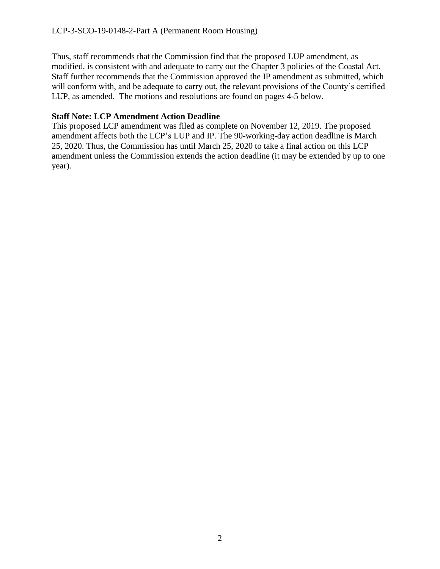Thus, staff recommends that the Commission find that the proposed LUP amendment, as modified, is consistent with and adequate to carry out the Chapter 3 policies of the Coastal Act. Staff further recommends that the Commission approved the IP amendment as submitted, which will conform with, and be adequate to carry out, the relevant provisions of the County's certified LUP, as amended. The motions and resolutions are found on pages 4-5 below.

#### **Staff Note: LCP Amendment Action Deadline**

This proposed LCP amendment was filed as complete on November 12, 2019. The proposed amendment affects both the LCP's LUP and IP. The 90-working-day action deadline is March 25, 2020. Thus, the Commission has until March 25, 2020 to take a final action on this LCP amendment unless the Commission extends the action deadline (it may be extended by up to one year).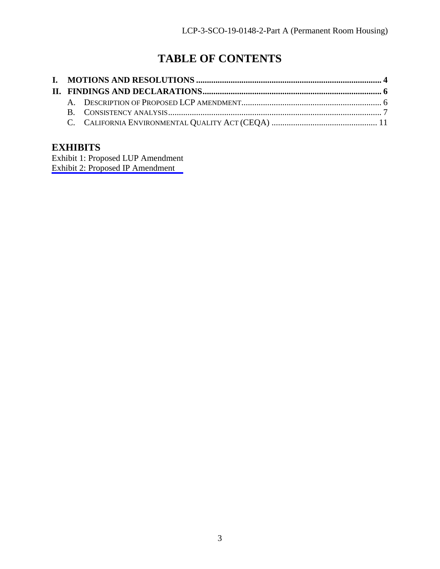# **TABLE OF CONTENTS**

# **EXHIBITS**

[Exhibit 1: Proposed LUP Amendment](https://documents.coastal.ca.gov/reports/2019/12/F20a/F20a-12-2019-exhibits.pdf) Exhibit 2: Proposed IP Amendment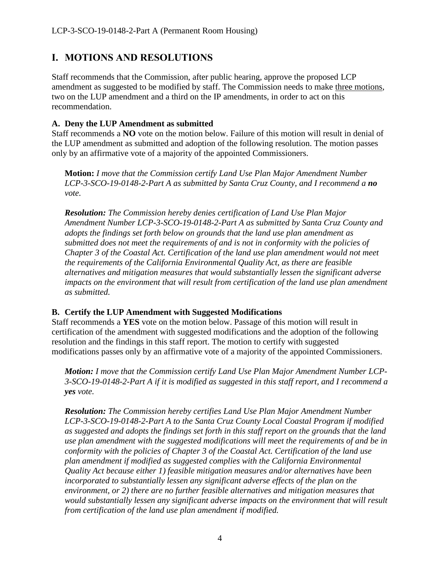# <span id="page-3-0"></span>**I. MOTIONS AND RESOLUTIONS**

Staff recommends that the Commission, after public hearing, approve the proposed LCP amendment as suggested to be modified by staff. The Commission needs to make three motions, two on the LUP amendment and a third on the IP amendments, in order to act on this recommendation.

#### **A. Deny the LUP Amendment as submitted**

Staff recommends a **NO** vote on the motion below. Failure of this motion will result in denial of the LUP amendment as submitted and adoption of the following resolution. The motion passes only by an affirmative vote of a majority of the appointed Commissioners.

**Motion:** *I move that the Commission certify Land Use Plan Major Amendment Number LCP-3-SCO-19-0148-2-Part A as submitted by Santa Cruz County, and I recommend a no vote.*

*Resolution: The Commission hereby denies certification of Land Use Plan Major Amendment Number LCP-3-SCO-19-0148-2-Part A as submitted by Santa Cruz County and adopts the findings set forth below on grounds that the land use plan amendment as submitted does not meet the requirements of and is not in conformity with the policies of Chapter 3 of the Coastal Act. Certification of the land use plan amendment would not meet the requirements of the California Environmental Quality Act, as there are feasible alternatives and mitigation measures that would substantially lessen the significant adverse impacts on the environment that will result from certification of the land use plan amendment as submitted.*

## **B. Certify the LUP Amendment with Suggested Modifications**

Staff recommends a **YES** vote on the motion below. Passage of this motion will result in certification of the amendment with suggested modifications and the adoption of the following resolution and the findings in this staff report. The motion to certify with suggested modifications passes only by an affirmative vote of a majority of the appointed Commissioners.

*Motion: I move that the Commission certify Land Use Plan Major Amendment Number LCP-3-SCO-19-0148-2-Part A if it is modified as suggested in this staff report, and I recommend a yes vote.*

*Resolution: The Commission hereby certifies Land Use Plan Major Amendment Number LCP-3-SCO-19-0148-2-Part A to the Santa Cruz County Local Coastal Program if modified as suggested and adopts the findings set forth in this staff report on the grounds that the land use plan amendment with the suggested modifications will meet the requirements of and be in conformity with the policies of Chapter 3 of the Coastal Act. Certification of the land use plan amendment if modified as suggested complies with the California Environmental Quality Act because either 1) feasible mitigation measures and/or alternatives have been incorporated to substantially lessen any significant adverse effects of the plan on the environment, or 2) there are no further feasible alternatives and mitigation measures that*  would substantially lessen any significant adverse impacts on the environment that will result *from certification of the land use plan amendment if modified.*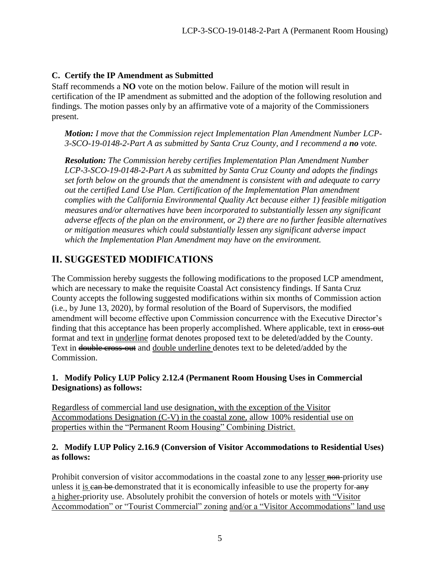### **C. Certify the IP Amendment as Submitted**

Staff recommends a **NO** vote on the motion below. Failure of the motion will result in certification of the IP amendment as submitted and the adoption of the following resolution and findings. The motion passes only by an affirmative vote of a majority of the Commissioners present.

*Motion: I move that the Commission reject Implementation Plan Amendment Number LCP-3-SCO-19-0148-2-Part A as submitted by Santa Cruz County, and I recommend a no vote.*

*Resolution: The Commission hereby certifies Implementation Plan Amendment Number LCP-3-SCO-19-0148-2-Part A as submitted by Santa Cruz County and adopts the findings set forth below on the grounds that the amendment is consistent with and adequate to carry out the certified Land Use Plan. Certification of the Implementation Plan amendment complies with the California Environmental Quality Act because either 1) feasible mitigation measures and/or alternatives have been incorporated to substantially lessen any significant adverse effects of the plan on the environment, or 2) there are no further feasible alternatives or mitigation measures which could substantially lessen any significant adverse impact which the Implementation Plan Amendment may have on the environment.*

# **II. SUGGESTED MODIFICATIONS**

The Commission hereby suggests the following modifications to the proposed LCP amendment, which are necessary to make the requisite Coastal Act consistency findings. If Santa Cruz County accepts the following suggested modifications within six months of Commission action (i.e., by June 13, 2020), by formal resolution of the Board of Supervisors, the modified amendment will become effective upon Commission concurrence with the Executive Director's finding that this acceptance has been properly accomplished. Where applicable, text in cross-out format and text in underline format denotes proposed text to be deleted/added by the County. Text in <del>double cross-out</del> and double underline denotes text to be deleted/added by the Commission.

#### **1. Modify Policy LUP Policy 2.12.4 (Permanent Room Housing Uses in Commercial Designations) as follows:**

Regardless of commercial land use designation, with the exception of the Visitor Accommodations Designation (C-V) in the coastal zone, allow 100% residential use on properties within the "Permanent Room Housing" Combining District.

#### **2. Modify LUP Policy 2.16.9 (Conversion of Visitor Accommodations to Residential Uses) as follows:**

Prohibit conversion of visitor accommodations in the coastal zone to any lesser non-priority use unless it is can be demonstrated that it is economically infeasible to use the property for any a higher-priority use. Absolutely prohibit the conversion of hotels or motels with "Visitor Accommodation" or "Tourist Commercial" zoning and/or a "Visitor Accommodations" land use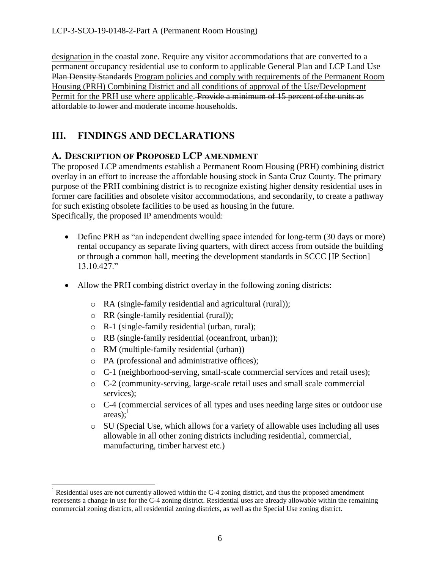designation in the coastal zone. Require any visitor accommodations that are converted to a permanent occupancy residential use to conform to applicable General Plan and LCP Land Use Plan Density Standards Program policies and comply with requirements of the Permanent Room Housing (PRH) Combining District and all conditions of approval of the Use/Development Permit for the PRH use where applicable. Provide a minimum of 15 percent of the units as affordable to lower and moderate income households.

# <span id="page-5-0"></span>**III. FINDINGS AND DECLARATIONS**

## <span id="page-5-1"></span>**A. DESCRIPTION OF PROPOSED LCP AMENDMENT**

The proposed LCP amendments establish a Permanent Room Housing (PRH) combining district overlay in an effort to increase the affordable housing stock in Santa Cruz County. The primary purpose of the PRH combining district is to recognize existing higher density residential uses in former care facilities and obsolete visitor accommodations, and secondarily, to create a pathway for such existing obsolete facilities to be used as housing in the future. Specifically, the proposed IP amendments would:

- Define PRH as "an independent dwelling space intended for long-term (30 days or more) rental occupancy as separate living quarters, with direct access from outside the building or through a common hall, meeting the development standards in SCCC [IP Section] 13.10.427."
- Allow the PRH combing district overlay in the following zoning districts:
	- o RA (single-family residential and agricultural (rural));
	- o RR (single-family residential (rural));
	- o R-1 (single-family residential (urban, rural);
	- o RB (single-family residential (oceanfront, urban));
	- o RM (multiple-family residential (urban))

 $\overline{a}$ 

- o PA (professional and administrative offices);
- o C-1 (neighborhood-serving, small-scale commercial services and retail uses);
- o C-2 (community-serving, large-scale retail uses and small scale commercial services);
- o C-4 (commercial services of all types and uses needing large sites or outdoor use  $area$ s);<sup>1</sup>
- o SU (Special Use, which allows for a variety of allowable uses including all uses allowable in all other zoning districts including residential, commercial, manufacturing, timber harvest etc.)

<sup>&</sup>lt;sup>1</sup> Residential uses are not currently allowed within the C-4 zoning district, and thus the proposed amendment represents a change in use for the C-4 zoning district. Residential uses are already allowable within the remaining commercial zoning districts, all residential zoning districts, as well as the Special Use zoning district.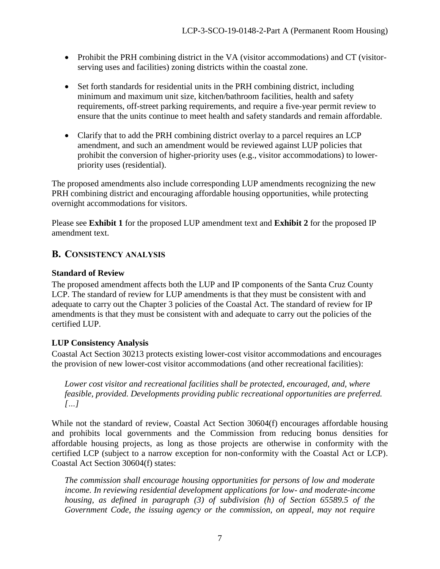- Prohibit the PRH combining district in the VA (visitor accommodations) and CT (visitorserving uses and facilities) zoning districts within the coastal zone.
- Set forth standards for residential units in the PRH combining district, including minimum and maximum unit size, kitchen/bathroom facilities, health and safety requirements, off-street parking requirements, and require a five-year permit review to ensure that the units continue to meet health and safety standards and remain affordable.
- Clarify that to add the PRH combining district overlay to a parcel requires an LCP amendment, and such an amendment would be reviewed against LUP policies that prohibit the conversion of higher-priority uses (e.g., visitor accommodations) to lowerpriority uses (residential).

The proposed amendments also include corresponding LUP amendments recognizing the new PRH combining district and encouraging affordable housing opportunities, while protecting overnight accommodations for visitors.

Please see **Exhibit 1** for the proposed LUP amendment text and **Exhibit 2** for the proposed IP amendment text.

## <span id="page-6-0"></span>**B. CONSISTENCY ANALYSIS**

## **Standard of Review**

The proposed amendment affects both the LUP and IP components of the Santa Cruz County LCP. The standard of review for LUP amendments is that they must be consistent with and adequate to carry out the Chapter 3 policies of the Coastal Act. The standard of review for IP amendments is that they must be consistent with and adequate to carry out the policies of the certified LUP.

## **LUP Consistency Analysis**

Coastal Act Section 30213 protects existing lower-cost visitor accommodations and encourages the provision of new lower-cost visitor accommodations (and other recreational facilities):

*Lower cost visitor and recreational facilities shall be protected, encouraged, and, where feasible, provided. Developments providing public recreational opportunities are preferred. […]*

While not the standard of review, Coastal Act Section 30604(f) encourages affordable housing and prohibits local governments and the Commission from reducing bonus densities for affordable housing projects, as long as those projects are otherwise in conformity with the certified LCP (subject to a narrow exception for non-conformity with the Coastal Act or LCP). Coastal Act Section 30604(f) states:

*The commission shall encourage housing opportunities for persons of low and moderate income. In reviewing residential development applications for low- and moderate-income housing, as defined in paragraph (3) of subdivision (h) of Section 65589.5 of the Government Code, the issuing agency or the commission, on appeal, may not require*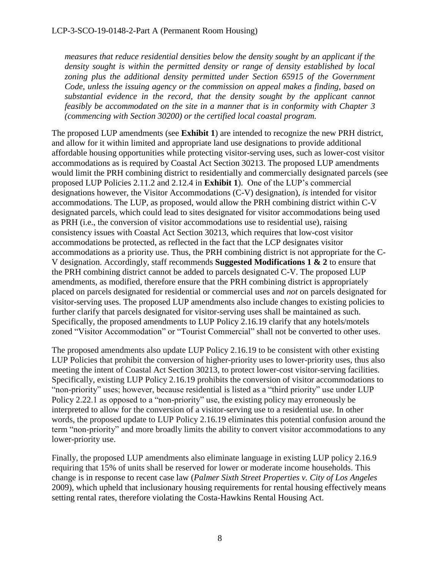*measures that reduce residential densities below the density sought by an applicant if the density sought is within the permitted density or range of density established by local*  zoning plus the additional density permitted under Section 65915 of the Government *Code, unless the issuing agency or the commission on appeal makes a finding, based on substantial evidence in the record, that the density sought by the applicant cannot feasibly be accommodated on the site in a manner that is in conformity with Chapter 3 (commencing with Section 30200) or the certified local coastal program.*

The proposed LUP amendments (see **Exhibit 1**) are intended to recognize the new PRH district, and allow for it within limited and appropriate land use designations to provide additional affordable housing opportunities while protecting visitor-serving uses, such as lower-cost visitor accommodations as is required by Coastal Act Section 30213. The proposed LUP amendments would limit the PRH combining district to residentially and commercially designated parcels (see proposed LUP Policies 2.11.2 and 2.12.4 in **Exhibit 1**). One of the LUP's commercial designations however, the Visitor Accommodations (C-V) designation), *is* intended for visitor accommodations. The LUP, as proposed, would allow the PRH combining district within C-V designated parcels, which could lead to sites designated for visitor accommodations being used as PRH (i.e., the conversion of visitor accommodations use to residential use), raising consistency issues with Coastal Act Section 30213, which requires that low-cost visitor accommodations be protected, as reflected in the fact that the LCP designates visitor accommodations as a priority use. Thus, the PRH combining district is not appropriate for the C-V designation. Accordingly, staff recommends **Suggested Modifications 1 & 2** to ensure that the PRH combining district cannot be added to parcels designated C-V. The proposed LUP amendments, as modified, therefore ensure that the PRH combining district is appropriately placed on parcels designated for residential or commercial uses and *not* on parcels designated for visitor-serving uses. The proposed LUP amendments also include changes to existing policies to further clarify that parcels designated for visitor-serving uses shall be maintained as such. Specifically, the proposed amendments to LUP Policy 2.16.19 clarify that any hotels/motels zoned "Visitor Accommodation" or "Tourist Commercial" shall not be converted to other uses.

The proposed amendments also update LUP Policy 2.16.19 to be consistent with other existing LUP Policies that prohibit the conversion of higher-priority uses to lower-priority uses, thus also meeting the intent of Coastal Act Section 30213, to protect lower-cost visitor-serving facilities. Specifically, existing LUP Policy 2.16.19 prohibits the conversion of visitor accommodations to "non-priority" uses; however, because residential is listed as a "third priority" use under LUP Policy 2.22.1 as opposed to a "non-priority" use, the existing policy may erroneously be interpreted to allow for the conversion of a visitor-serving use to a residential use. In other words, the proposed update to LUP Policy 2.16.19 eliminates this potential confusion around the term "non-priority" and more broadly limits the ability to convert visitor accommodations to any lower-priority use.

Finally, the proposed LUP amendments also eliminate language in existing LUP policy 2.16.9 requiring that 15% of units shall be reserved for lower or moderate income households. This change is in response to recent case law (*Palmer Sixth Street Properties v. City of Los Angeles* 2009), which upheld that inclusionary housing requirements for rental housing effectively means setting rental rates, therefore violating the Costa-Hawkins Rental Housing Act.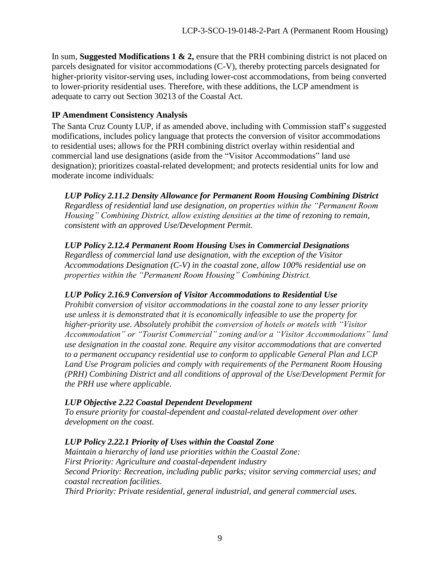In sum, **Suggested Modifications 1 & 2,** ensure that the PRH combining district is not placed on parcels designated for visitor accommodations (C-V), thereby protecting parcels designated for higher-priority visitor-serving uses, including lower-cost accommodations, from being converted to lower-priority residential uses. Therefore, with these additions, the LCP amendment is adequate to carry out Section 30213 of the Coastal Act.

#### **IP Amendment Consistency Analysis**

The Santa Cruz County LUP, if as amended above, including with Commission staff's suggested modifications, includes policy language that protects the conversion of visitor accommodations to residential uses; allows for the PRH combining district overlay within residential and commercial land use designations (aside from the "Visitor Accommodations" land use designation); prioritizes coastal-related development; and protects residential units for low and moderate income individuals:

*LUP Policy 2.11.2 Density Allowance for Permanent Room Housing Combining District Regardless of residential land use designation, on properties within the "Permanent Room Housing" Combining District, allow existing densities at the time of rezoning to remain, consistent with an approved Use/Development Permit.*

## *LUP Policy 2.12.4 Permanent Room Housing Uses in Commercial Designations*

*Regardless of commercial land use designation, with the exception of the Visitor Accommodations Designation (C-V) in the coastal zone, allow 100% residential use on properties within the "Permanent Room Housing" Combining District.* 

## *LUP Policy 2.16.9 Conversion of Visitor Accommodations to Residential Use*

*Prohibit conversion of visitor accommodations in the coastal zone to any lesser priority use unless it is demonstrated that it is economically infeasible to use the property for higher-priority use. Absolutely prohibit the conversion of hotels or motels with "Visitor Accommodation" or "Tourist Commercial" zoning and/or a "Visitor Accommodations" land use designation in the coastal zone. Require any visitor accommodations that are converted to a permanent occupancy residential use to conform to applicable General Plan and LCP Land Use Program policies and comply with requirements of the Permanent Room Housing (PRH) Combining District and all conditions of approval of the Use/Development Permit for the PRH use where applicable.*

#### *LUP Objective 2.22 Coastal Dependent Development*

*To ensure priority for coastal-dependent and coastal-related development over other development on the coast.*

## *LUP Policy 2.22.1 Priority of Uses within the Coastal Zone*

*Maintain a hierarchy of land use priorities within the Coastal Zone: First Priority: Agriculture and coastal-dependent industry Second Priority: Recreation, including public parks; visitor serving commercial uses; and coastal recreation facilities.*

*Third Priority: Private residential, general industrial, and general commercial uses.*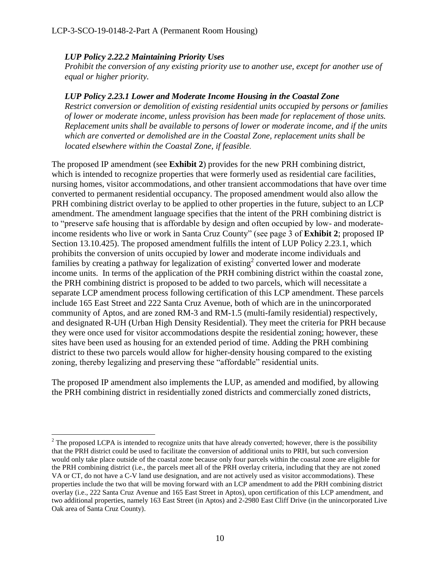#### *LUP Policy 2.22.2 Maintaining Priority Uses*

 $\overline{a}$ 

*Prohibit the conversion of any existing priority use to another use, except for another use of equal or higher priority.*

#### *LUP Policy 2.23.1 Lower and Moderate Income Housing in the Coastal Zone*

*Restrict conversion or demolition of existing residential units occupied by persons or families of lower or moderate income, unless provision has been made for replacement of those units. Replacement units shall be available to persons of lower or moderate income, and if the units which are converted or demolished are in the Coastal Zone, replacement units shall be located elsewhere within the Coastal Zone, if feasible.*

The proposed IP amendment (see **Exhibit 2**) provides for the new PRH combining district, which is intended to recognize properties that were formerly used as residential care facilities, nursing homes, visitor accommodations, and other transient accommodations that have over time converted to permanent residential occupancy. The proposed amendment would also allow the PRH combining district overlay to be applied to other properties in the future, subject to an LCP amendment. The amendment language specifies that the intent of the PRH combining district is to "preserve safe housing that is affordable by design and often occupied by low- and moderateincome residents who live or work in Santa Cruz County" (see page 3 of **Exhibit 2**; proposed IP Section 13.10.425). The proposed amendment fulfills the intent of LUP Policy 2.23.1, which prohibits the conversion of units occupied by lower and moderate income individuals and families by creating a pathway for legalization of existing  $2$  converted lower and moderate income units. In terms of the application of the PRH combining district within the coastal zone, the PRH combining district is proposed to be added to two parcels, which will necessitate a separate LCP amendment process following certification of this LCP amendment. These parcels include 165 East Street and 222 Santa Cruz Avenue, both of which are in the unincorporated community of Aptos, and are zoned RM-3 and RM-1.5 (multi-family residential) respectively, and designated R-UH (Urban High Density Residential). They meet the criteria for PRH because they were once used for visitor accommodations despite the residential zoning; however, these sites have been used as housing for an extended period of time. Adding the PRH combining district to these two parcels would allow for higher-density housing compared to the existing zoning, thereby legalizing and preserving these "affordable" residential units.

The proposed IP amendment also implements the LUP, as amended and modified, by allowing the PRH combining district in residentially zoned districts and commercially zoned districts,

 $2$  The proposed LCPA is intended to recognize units that have already converted; however, there is the possibility that the PRH district could be used to facilitate the conversion of additional units to PRH, but such conversion would only take place outside of the coastal zone because only four parcels within the coastal zone are eligible for the PRH combining district (i.e., the parcels meet all of the PRH overlay criteria, including that they are not zoned VA or CT, do not have a C-V land use designation, and are not actively used as visitor accommodations). These properties include the two that will be moving forward with an LCP amendment to add the PRH combining district overlay (i.e., 222 Santa Cruz Avenue and 165 East Street in Aptos), upon certification of this LCP amendment, and two additional properties, namely 163 East Street (in Aptos) and 2-2980 East Cliff Drive (in the unincorporated Live Oak area of Santa Cruz County).